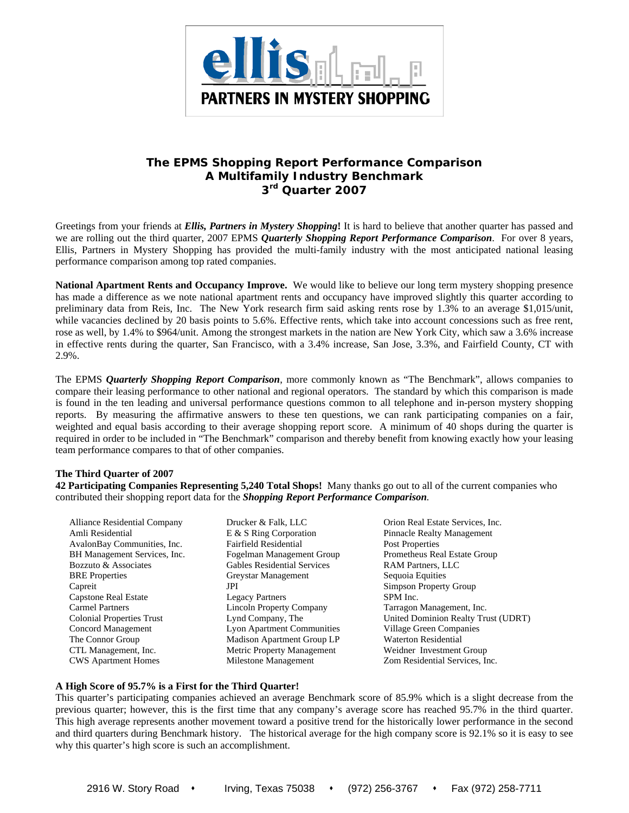

# **The EPMS** *Shopping Report Performance Comparison*  **A Multifamily Industry Benchmark 3rd Quarter 2007**

Greetings from your friends at *Ellis, Partners in Mystery Shopping***!** It is hard to believe that another quarter has passed and we are rolling out the third quarter, 2007 EPMS *Quarterly Shopping Report Performance Comparison*. For over 8 years, Ellis, Partners in Mystery Shopping has provided the multi-family industry with the most anticipated national leasing performance comparison among top rated companies.

**National Apartment Rents and Occupancy Improve.** We would like to believe our long term mystery shopping presence has made a difference as we note national apartment rents and occupancy have improved slightly this quarter according to preliminary data from Reis, Inc. The New York research firm said asking rents rose by 1.3% to an average \$1,015/unit, while vacancies declined by 20 basis points to 5.6%. Effective rents, which take into account concessions such as free rent, rose as well, by 1.4% to \$964/unit. Among the strongest markets in the nation are New York City, which saw a 3.6% increase in effective rents during the quarter, San Francisco, with a 3.4% increase, San Jose, 3.3%, and Fairfield County, CT with 2.9%.

The EPMS *Quarterly Shopping Report Comparison*, more commonly known as "The Benchmark", allows companies to compare their leasing performance to other national and regional operators. The standard by which this comparison is made is found in the ten leading and universal performance questions common to all telephone and in-person mystery shopping reports. By measuring the affirmative answers to these ten questions, we can rank participating companies on a fair, weighted and equal basis according to their average shopping report score. A minimum of 40 shops during the quarter is required in order to be included in "The Benchmark" comparison and thereby benefit from knowing exactly how your leasing team performance compares to that of other companies.

#### **The Third Quarter of 2007**

**42 Participating Companies Representing 5,240 Total Shops!** Many thanks go out to all of the current companies who contributed their shopping report data for the *Shopping Report Performance Comparison.* 

Alliance Residential Company Drucker & Falk, LLC Orion Real Estate Services, Inc. Amli Residential **E** & S Ring Corporation **Pinnacle Realty Management** AvalonBay Communities, Inc. Fairfield Residential Post Properties BH Management Services, Inc. Fogelman Management Group Prometheus Real Estate Group Bozzuto & Associates Gables Residential Services RAM Partners, LLC BRE Properties Greystar Management Sequoia Equities Capreit **Simpson Property Group** Capstone Real Estate Legacy Partners SPM Inc. Carmel Partners Lincoln Property Company Tarragon Management, Inc. Colonial Properties Trust Lynd Company, The United Dominion Realty Trust (UDRT) Concord Management Lyon Apartment Communities Village Green Companies The Connor Group Madison Apartment Group LP Waterton Residential CTL Management, Inc. Metric Property Management Weidner Investment Group CWS Apartment Homes Milestone Management Zom Residential Services, Inc.

### **A High Score of 95.7% is a First for the Third Quarter!**

This quarter's participating companies achieved an average Benchmark score of 85.9% which is a slight decrease from the previous quarter; however, this is the first time that any company's average score has reached 95.7% in the third quarter. This high average represents another movement toward a positive trend for the historically lower performance in the second and third quarters during Benchmark history. The historical average for the high company score is 92.1% so it is easy to see why this quarter's high score is such an accomplishment.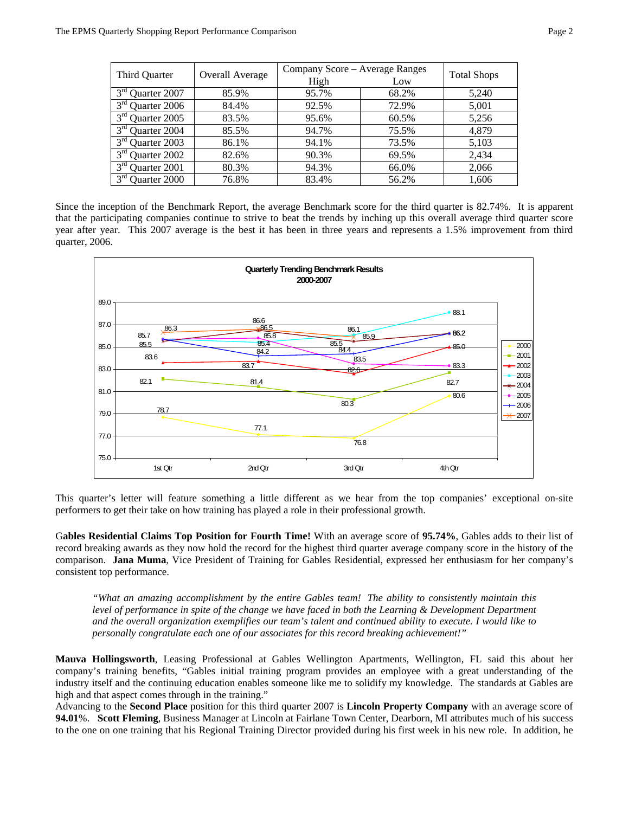| Third Quarter                   | <b>Overall Average</b> | Company Score - Average Ranges | <b>Total Shops</b> |       |  |
|---------------------------------|------------------------|--------------------------------|--------------------|-------|--|
|                                 |                        | High                           | Low                |       |  |
| 3 <sup>rd</sup><br>Quarter 2007 | 85.9%                  | 95.7%                          | 68.2%              | 5,240 |  |
| 3 <sup>rd</sup> Quarter 2006    | 84.4%                  | 92.5%                          | 72.9%              | 5,001 |  |
| $3rd$ Quarter 2005              | 83.5%                  | 95.6%                          | 60.5%              | 5,256 |  |
| $3rd$ Quarter 2004              | 85.5%                  | 94.7%                          | 75.5%              | 4.879 |  |
| 3 <sup>rd</sup><br>Quarter 2003 | 86.1%                  | 94.1%                          | 73.5%              | 5,103 |  |
| 3 <sup>rd</sup><br>Quarter 2002 | 82.6%                  | 90.3%                          | 69.5%              | 2,434 |  |
| 3 <sup>rd</sup><br>Quarter 2001 | 80.3%                  | 94.3%                          | 66.0%              | 2,066 |  |
| 3 <sup>rd</sup><br>Quarter 2000 | 76.8%                  | 83.4%                          | 56.2%              | 1,606 |  |

Since the inception of the Benchmark Report, the average Benchmark score for the third quarter is 82.74%. It is apparent that the participating companies continue to strive to beat the trends by inching up this overall average third quarter score year after year. This 2007 average is the best it has been in three years and represents a 1.5% improvement from third quarter, 2006.



This quarter's letter will feature something a little different as we hear from the top companies' exceptional on-site performers to get their take on how training has played a role in their professional growth.

G**ables Residential Claims Top Position for Fourth Time!** With an average score of **95.74%**, Gables adds to their list of record breaking awards as they now hold the record for the highest third quarter average company score in the history of the comparison. **Jana Muma**, Vice President of Training for Gables Residential, expressed her enthusiasm for her company's consistent top performance.

*"What an amazing accomplishment by the entire Gables team! The ability to consistently maintain this*  level of performance in spite of the change we have faced in both the Learning & Development Department *and the overall organization exemplifies our team's talent and continued ability to execute. I would like to personally congratulate each one of our associates for this record breaking achievement!"* 

**Mauva Hollingsworth**, Leasing Professional at Gables Wellington Apartments, Wellington, FL said this about her company's training benefits, "Gables initial training program provides an employee with a great understanding of the industry itself and the continuing education enables someone like me to solidify my knowledge. The standards at Gables are high and that aspect comes through in the training."

Advancing to the **Second Place** position for this third quarter 2007 is **Lincoln Property Company** with an average score of **94.01**%. **Scott Fleming**, Business Manager at Lincoln at Fairlane Town Center, Dearborn, MI attributes much of his success to the one on one training that his Regional Training Director provided during his first week in his new role. In addition, he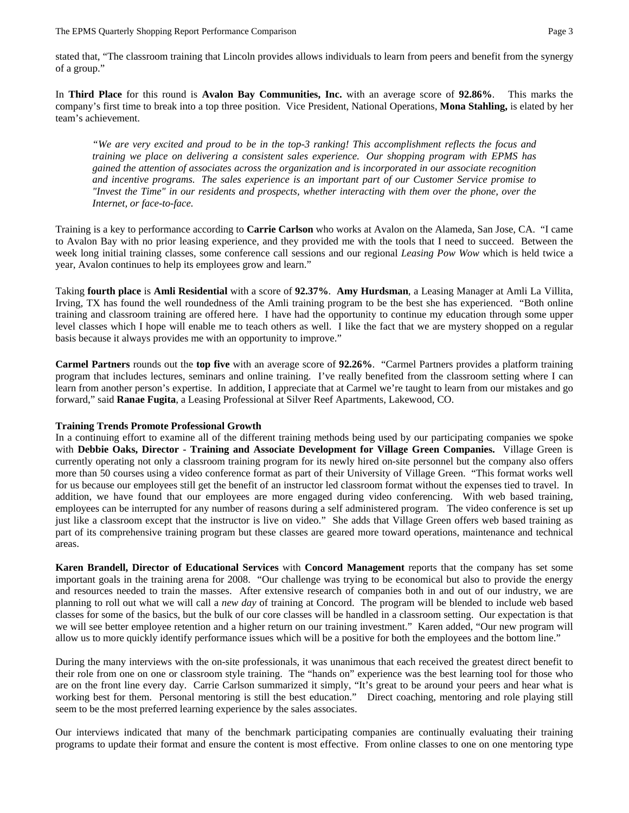stated that, "The classroom training that Lincoln provides allows individuals to learn from peers and benefit from the synergy of a group."

In **Third Place** for this round is **Avalon Bay Communities, Inc.** with an average score of **92.86%**. This marks the company's first time to break into a top three position. Vice President, National Operations, **Mona Stahling,** is elated by her team's achievement.

*"We are very excited and proud to be in the top-3 ranking! This accomplishment reflects the focus and training we place on delivering a consistent sales experience. Our shopping program with EPMS has gained the attention of associates across the organization and is incorporated in our associate recognition and incentive programs. The sales experience is an important part of our Customer Service promise to "Invest the Time" in our residents and prospects, whether interacting with them over the phone, over the Internet, or face-to-face.* 

Training is a key to performance according to **Carrie Carlson** who works at Avalon on the Alameda, San Jose, CA. "I came to Avalon Bay with no prior leasing experience, and they provided me with the tools that I need to succeed. Between the week long initial training classes, some conference call sessions and our regional *Leasing Pow Wow* which is held twice a year, Avalon continues to help its employees grow and learn."

Taking **fourth place** is **Amli Residential** with a score of **92.37%**. **Amy Hurdsman**, a Leasing Manager at Amli La Villita, Irving, TX has found the well roundedness of the Amli training program to be the best she has experienced. "Both online training and classroom training are offered here. I have had the opportunity to continue my education through some upper level classes which I hope will enable me to teach others as well. I like the fact that we are mystery shopped on a regular basis because it always provides me with an opportunity to improve."

**Carmel Partners** rounds out the **top five** with an average score of **92.26%**. "Carmel Partners provides a platform training program that includes lectures, seminars and online training. I've really benefited from the classroom setting where I can learn from another person's expertise. In addition, I appreciate that at Carmel we're taught to learn from our mistakes and go forward," said **Ranae Fugita**, a Leasing Professional at Silver Reef Apartments, Lakewood, CO.

#### **Training Trends Promote Professional Growth**

In a continuing effort to examine all of the different training methods being used by our participating companies we spoke with **Debbie Oaks, Director - Training and Associate Development for Village Green Companies.** Village Green is currently operating not only a classroom training program for its newly hired on-site personnel but the company also offers more than 50 courses using a video conference format as part of their University of Village Green. "This format works well for us because our employees still get the benefit of an instructor led classroom format without the expenses tied to travel. In addition, we have found that our employees are more engaged during video conferencing. With web based training, employees can be interrupted for any number of reasons during a self administered program. The video conference is set up just like a classroom except that the instructor is live on video." She adds that Village Green offers web based training as part of its comprehensive training program but these classes are geared more toward operations, maintenance and technical areas.

**Karen Brandell, Director of Educational Services** with **Concord Management** reports that the company has set some important goals in the training arena for 2008. "Our challenge was trying to be economical but also to provide the energy and resources needed to train the masses. After extensive research of companies both in and out of our industry, we are planning to roll out what we will call a *new day* of training at Concord. The program will be blended to include web based classes for some of the basics, but the bulk of our core classes will be handled in a classroom setting. Our expectation is that we will see better employee retention and a higher return on our training investment." Karen added, "Our new program will allow us to more quickly identify performance issues which will be a positive for both the employees and the bottom line."

During the many interviews with the on-site professionals, it was unanimous that each received the greatest direct benefit to their role from one on one or classroom style training. The "hands on" experience was the best learning tool for those who are on the front line every day. Carrie Carlson summarized it simply, "It's great to be around your peers and hear what is working best for them. Personal mentoring is still the best education." Direct coaching, mentoring and role playing still seem to be the most preferred learning experience by the sales associates.

Our interviews indicated that many of the benchmark participating companies are continually evaluating their training programs to update their format and ensure the content is most effective. From online classes to one on one mentoring type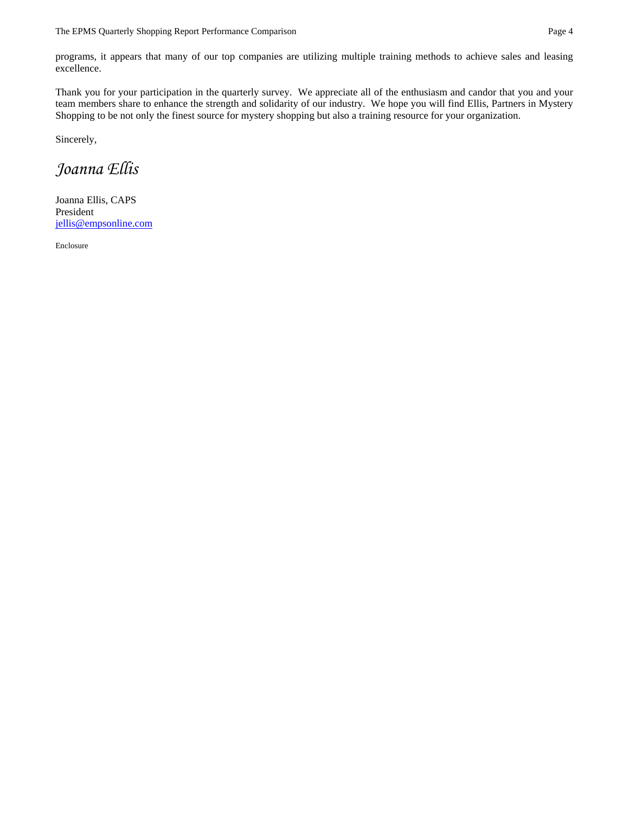programs, it appears that many of our top companies are utilizing multiple training methods to achieve sales and leasing excellence.

Thank you for your participation in the quarterly survey. We appreciate all of the enthusiasm and candor that you and your team members share to enhance the strength and solidarity of our industry. We hope you will find Ellis, Partners in Mystery Shopping to be not only the finest source for mystery shopping but also a training resource for your organization.

Sincerely,

# *Joanna Ellis*

Joanna Ellis, CAPS President jellis@empsonline.com

Enclosure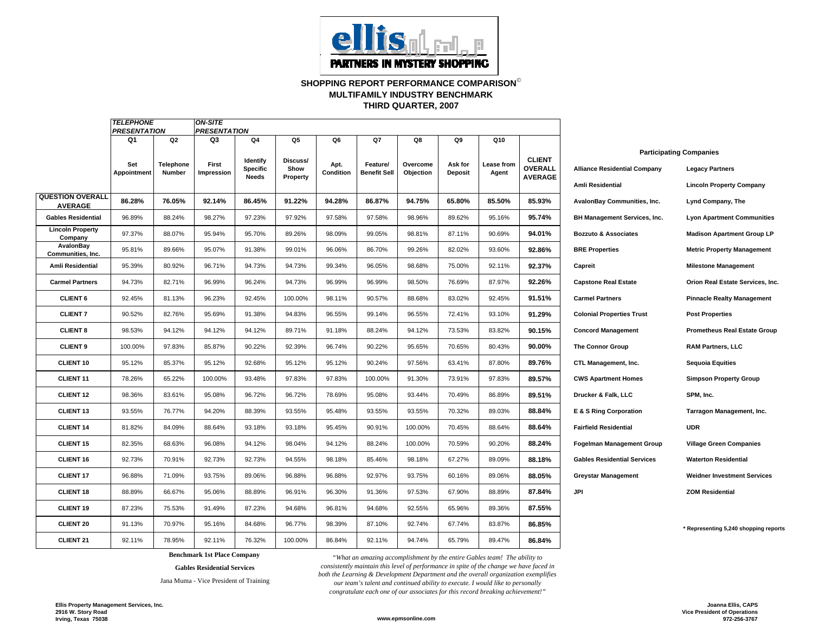

#### **SHOPPING REPORT PERFORMANCE COMPARISON**© **THIRD QUARTER, 2007 MULTIFAMILY INDUSTRY BENCHMARK**

|                                           | <b>TELEPHONE</b><br><b>PRESENTATION</b> |                     | <b>ON-SITE</b><br><b>PRESENTATION</b>         |                                             |                              |                   |                                 |                       |                           |                     |                                            |                                                                |                                                                                             |
|-------------------------------------------|-----------------------------------------|---------------------|-----------------------------------------------|---------------------------------------------|------------------------------|-------------------|---------------------------------|-----------------------|---------------------------|---------------------|--------------------------------------------|----------------------------------------------------------------|---------------------------------------------------------------------------------------------|
|                                           | Q <sub>1</sub>                          | Q <sub>2</sub>      | Q3<br>Q4<br>Q5<br>Q6<br>Q7<br>Q8<br>Q9<br>Q10 |                                             |                              |                   |                                 |                       |                           |                     |                                            |                                                                |                                                                                             |
|                                           | Set<br>Appointment                      | Telephone<br>Number | First<br>Impression                           | Identify<br><b>Specific</b><br><b>Needs</b> | Discuss/<br>Show<br>Property | Apt.<br>Condition | Feature/<br><b>Benefit Sell</b> | Overcome<br>Objection | Ask for<br><b>Deposit</b> | Lease from<br>Agent | <b>CLIENT</b><br>OVERALL<br><b>AVERAGE</b> | <b>Alliance Residential Company</b><br><b>Amli Residential</b> | <b>Participating Companies</b><br><b>Legacy Partners</b><br><b>Lincoln Property Company</b> |
| <b>QUESTION OVERALL</b><br><b>AVERAGE</b> | 86.28%                                  | 76.05%              | 92.14%                                        | 86.45%                                      | 91.22%                       | 94.28%            | 86.87%                          | 94.75%                | 65.80%                    | 85.50%              | 85.93%                                     | AvalonBay Communities, Inc.                                    | Lynd Company, The                                                                           |
| <b>Gables Residential</b>                 | 96.89%                                  | 88.24%              | 98.27%                                        | 97.23%                                      | 97.92%                       | 97.58%            | 97.58%                          | 98.96%                | 89.62%                    | 95.16%              | 95.74%                                     | BH Management Services, Inc.                                   | <b>Lyon Apartment Communities</b>                                                           |
| <b>Lincoln Property</b><br>Company        | 97.37%                                  | 88.07%              | 95.94%                                        | 95.70%                                      | 89.26%                       | 98.09%            | 99.05%                          | 98.81%                | 87.11%                    | 90.69%              | 94.01%                                     | <b>Bozzuto &amp; Associates</b>                                | <b>Madison Apartment Group LP</b>                                                           |
| AvalonBay<br>Communities, Inc.            | 95.81%                                  | 89.66%              | 95.07%                                        | 91.38%                                      | 99.01%                       | 96.06%            | 86.70%                          | 99.26%                | 82.02%                    | 93.60%              | 92.86%                                     | <b>BRE Properties</b>                                          | <b>Metric Property Management</b>                                                           |
| Amli Residential                          | 95.39%                                  | 80.92%              | 96.71%                                        | 94.73%                                      | 94.73%                       | 99.34%            | 96.05%                          | 98.68%                | 75.00%                    | 92.11%              | 92.37%                                     | Capreit                                                        | <b>Milestone Management</b>                                                                 |
| <b>Carmel Partners</b>                    | 94.73%                                  | 82.71%              | 96.99%                                        | 96.24%                                      | 94.73%                       | 96.99%            | 96.99%                          | 98.50%                | 76.69%                    | 87.97%              | 92.26%                                     | <b>Capstone Real Estate</b>                                    | Orion Real Estate Services, Inc.                                                            |
| <b>CLIENT 6</b>                           | 92.45%                                  | 81.13%              | 96.23%                                        | 92.45%                                      | 100.00%                      | 98.11%            | 90.57%                          | 88.68%                | 83.02%                    | 92.45%              | 91.51%                                     | <b>Carmel Partners</b>                                         | <b>Pinnacle Realty Management</b>                                                           |
| <b>CLIENT 7</b>                           | 90.52%                                  | 82.76%              | 95.69%                                        | 91.38%                                      | 94.83%                       | 96.55%            | 99.14%                          | 96.55%                | 72.41%                    | 93.10%              | 91.29%                                     | <b>Colonial Properties Trust</b>                               | <b>Post Properties</b>                                                                      |
| <b>CLIENT 8</b>                           | 98.53%                                  | 94.12%              | 94.12%                                        | 94.12%                                      | 89.71%                       | 91.18%            | 88.24%                          | 94.12%                | 73.53%                    | 83.82%              | 90.15%                                     | <b>Concord Management</b>                                      | <b>Prometheus Real Estate Group</b>                                                         |
| <b>CLIENT 9</b>                           | 100.00%                                 | 97.83%              | 85.87%                                        | 90.22%                                      | 92.39%                       | 96.74%            | 90.22%                          | 95.65%                | 70.65%                    | 80.43%              | 90.00%                                     | <b>The Connor Group</b>                                        | <b>RAM Partners, LLC</b>                                                                    |
| <b>CLIENT 10</b>                          | 95.12%                                  | 85.37%              | 95.12%                                        | 92.68%                                      | 95.12%                       | 95.12%            | 90.24%                          | 97.56%                | 63.41%                    | 87.80%              | 89.76%                                     | CTL Management, Inc.                                           | <b>Sequoia Equities</b>                                                                     |
| <b>CLIENT 11</b>                          | 78.26%                                  | 65.22%              | 100.00%                                       | 93.48%                                      | 97.83%                       | 97.83%            | 100.00%                         | 91.30%                | 73.91%                    | 97.83%              | 89.57%                                     | <b>CWS Apartment Homes</b>                                     | <b>Simpson Property Group</b>                                                               |
| <b>CLIENT 12</b>                          | 98.36%                                  | 83.61%              | 95.08%                                        | 96.72%                                      | 96.72%                       | 78.69%            | 95.08%                          | 93.44%                | 70.49%                    | 86.89%              | 89.51%                                     | Drucker & Falk, LLC                                            | SPM, Inc.                                                                                   |
| <b>CLIENT 13</b>                          | 93.55%                                  | 76.77%              | 94.20%                                        | 88.39%                                      | 93.55%                       | 95.48%            | 93.55%                          | 93.55%                | 70.32%                    | 89.03%              | 88.84%                                     | E & S Ring Corporation                                         | Tarragon Management, Inc.                                                                   |
| <b>CLIENT 14</b>                          | 81.82%                                  | 84.09%              | 88.64%                                        | 93.18%                                      | 93.18%                       | 95.45%            | 90.91%                          | 100.00%               | 70.45%                    | 88.64%              | 88.64%                                     | <b>Fairfield Residential</b>                                   | <b>UDR</b>                                                                                  |
| <b>CLIENT 15</b>                          | 82.35%                                  | 68.63%              | 96.08%                                        | 94.12%                                      | 98.04%                       | 94.12%            | 88.24%                          | 100.00%               | 70.59%                    | 90.20%              | 88.24%                                     | <b>Fogelman Management Group</b>                               | <b>Village Green Companies</b>                                                              |
| CLIENT <sub>16</sub>                      | 92.73%                                  | 70.91%              | 92.73%                                        | 92.73%                                      | 94.55%                       | 98.18%            | 85.46%                          | 98.18%                | 67.27%                    | 89.09%              | 88.18%                                     | <b>Gables Residential Services</b>                             | <b>Waterton Residential</b>                                                                 |
| <b>CLIENT 17</b>                          | 96.88%                                  | 71.09%              | 93.75%                                        | 89.06%                                      | 96.88%                       | 96.88%            | 92.97%                          | 93.75%                | 60.16%                    | 89.06%              | 88.05%                                     | <b>Greystar Management</b>                                     | <b>Weidner Investment Services</b>                                                          |
| <b>CLIENT 18</b>                          | 88.89%                                  | 66.67%              | 95.06%                                        | 88.89%                                      | 96.91%                       | 96.30%            | 91.36%                          | 97.53%                | 67.90%                    | 88.89%              | 87.84%                                     | JPI                                                            | <b>ZOM Residential</b>                                                                      |
| <b>CLIENT 19</b>                          | 87.23%                                  | 75.53%              | 91.49%                                        | 87.23%                                      | 94.68%                       | 96.81%            | 94.68%                          | 92.55%                | 65.96%                    | 89.36%              | 87.55%                                     |                                                                |                                                                                             |
| <b>CLIENT 20</b>                          | 91.13%                                  | 70.97%              | 95.16%                                        | 84.68%                                      | 96.77%                       | 98.39%            | 87.10%                          | 92.74%                | 67.74%                    | 83.87%              | 86.85%                                     |                                                                | * Representing 5,240 shopping reports                                                       |
| <b>CLIENT 21</b>                          | 92.11%                                  | 78.95%              | 92.11%                                        | 76.32%                                      | 100.00%                      | 86.84%            | 92.11%                          | 94.74%                | 65.79%                    | 89.47%              | 86.84%                                     |                                                                |                                                                                             |

## **Benchmark 1st Place Company**

#### **Gables Residential Services**

Jana Muma - Vice President of Training

*"What an amazing accomplishment by the entire Gables team! The ability to consistently maintain this level of performance in spite of the change we have faced in both the Learning & Development Department and the overall organization exemplifies our team's talent and continued ability to execute. I would like to personally congratulate each one of our associates for this record breaking achievement!"*

> **Joanna Ellis, CAPS Vice President of Operations 972-256-3767**

**Ellis Property Management Services, Inc. 2916 W. Story Road Irving, Texas 75038 www.epmsonline.com**

*TELEPHONE*